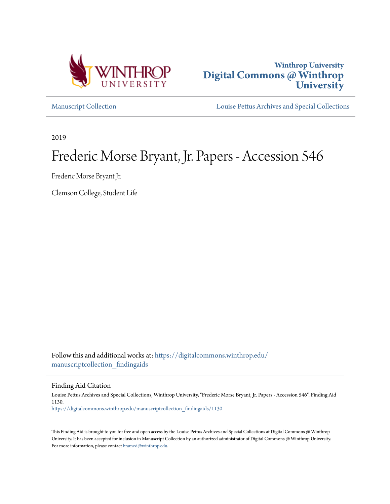



[Manuscript Collection](https://digitalcommons.winthrop.edu/manuscriptcollection_findingaids?utm_source=digitalcommons.winthrop.edu%2Fmanuscriptcollection_findingaids%2F1130&utm_medium=PDF&utm_campaign=PDFCoverPages) [Louise Pettus Archives and Special Collections](https://digitalcommons.winthrop.edu/pettus_archives?utm_source=digitalcommons.winthrop.edu%2Fmanuscriptcollection_findingaids%2F1130&utm_medium=PDF&utm_campaign=PDFCoverPages)

2019

# Frederic Morse Bryant, Jr. Papers - Accession 546

Frederic Morse Bryant Jr.

Clemson College, Student Life

Follow this and additional works at: [https://digitalcommons.winthrop.edu/](https://digitalcommons.winthrop.edu/manuscriptcollection_findingaids?utm_source=digitalcommons.winthrop.edu%2Fmanuscriptcollection_findingaids%2F1130&utm_medium=PDF&utm_campaign=PDFCoverPages) [manuscriptcollection\\_findingaids](https://digitalcommons.winthrop.edu/manuscriptcollection_findingaids?utm_source=digitalcommons.winthrop.edu%2Fmanuscriptcollection_findingaids%2F1130&utm_medium=PDF&utm_campaign=PDFCoverPages)

Finding Aid Citation

Louise Pettus Archives and Special Collections, Winthrop University, "Frederic Morse Bryant, Jr. Papers - Accession 546". Finding Aid 1130. [https://digitalcommons.winthrop.edu/manuscriptcollection\\_findingaids/1130](https://digitalcommons.winthrop.edu/manuscriptcollection_findingaids/1130?utm_source=digitalcommons.winthrop.edu%2Fmanuscriptcollection_findingaids%2F1130&utm_medium=PDF&utm_campaign=PDFCoverPages)

This Finding Aid is brought to you for free and open access by the Louise Pettus Archives and Special Collections at Digital Commons @ Winthrop University. It has been accepted for inclusion in Manuscript Collection by an authorized administrator of Digital Commons @ Winthrop University. For more information, please contact [bramed@winthrop.edu.](mailto:bramed@winthrop.edu)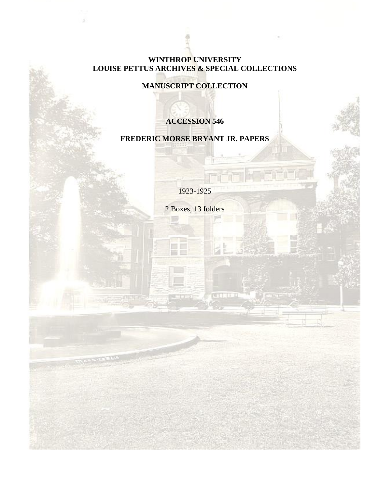### **WINTHROP UNIVERSITY LOUISE PETTUS ARCHIVES & SPECIAL COLLECTIONS**

**MANUSCRIPT COLLECTION**

## **ACCESSION 546**

## **FREDERIC MORSE BRYANT JR. PAPERS**

1923-1925

2 Boxes, 13 folders

 $-11-3$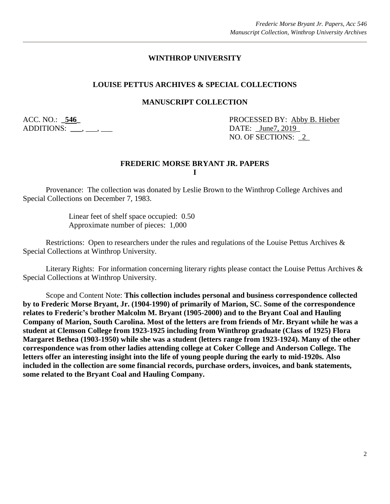#### **WINTHROP UNIVERSITY**

#### **LOUISE PETTUS ARCHIVES & SPECIAL COLLECTIONS**

#### **MANUSCRIPT COLLECTION**

ADDITIONS: \_\_\_\_, \_\_\_, \_\_\_

ACC. NO.: **\_546\_** PROCESSED BY: Abby B. Hieber NO. OF SECTIONS: \_2\_

#### **FREDERIC MORSE BRYANT JR. PAPERS I**

Provenance: The collection was donated by Leslie Brown to the Winthrop College Archives and Special Collections on December 7, 1983.

> Linear feet of shelf space occupied: 0.50 Approximate number of pieces: 1,000

Restrictions: Open to researchers under the rules and regulations of the Louise Pettus Archives & Special Collections at Winthrop University.

Literary Rights: For information concerning literary rights please contact the Louise Pettus Archives & Special Collections at Winthrop University.

Scope and Content Note: **This collection includes personal and business correspondence collected by to Frederic Morse Bryant, Jr. (1904-1990) of primarily of Marion, SC. Some of the correspondence relates to Frederic's brother Malcolm M. Bryant (1905-2000) and to the Bryant Coal and Hauling Company of Marion, South Carolina. Most of the letters are from friends of Mr. Bryant while he was a student at Clemson College from 1923-1925 including from Winthrop graduate (Class of 1925) Flora Margaret Bethea (1903-1950) while she was a student (letters range from 1923-1924). Many of the other correspondence was from other ladies attending college at Coker College and Anderson College. The letters offer an interesting insight into the life of young people during the early to mid-1920s. Also included in the collection are some financial records, purchase orders, invoices, and bank statements, some related to the Bryant Coal and Hauling Company.**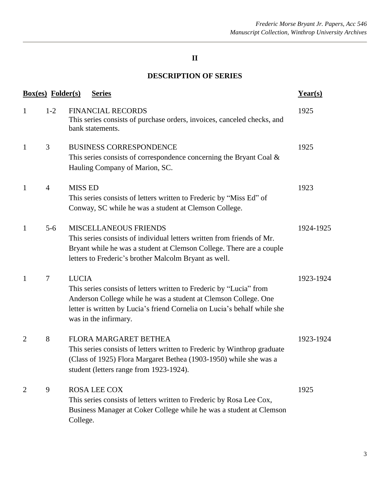## **II**

## **DESCRIPTION OF SERIES**

|                | <b>Box(es)</b> Folder(s) | <b>Series</b>                                                                                                                                                                                                                                               | Year(s)   |
|----------------|--------------------------|-------------------------------------------------------------------------------------------------------------------------------------------------------------------------------------------------------------------------------------------------------------|-----------|
| $\mathbf{1}$   | $1-2$                    | <b>FINANCIAL RECORDS</b><br>This series consists of purchase orders, invoices, canceled checks, and<br>bank statements.                                                                                                                                     | 1925      |
| $\mathbf{1}$   | 3                        | <b>BUSINESS CORRESPONDENCE</b><br>This series consists of correspondence concerning the Bryant Coal $\&$<br>Hauling Company of Marion, SC.                                                                                                                  | 1925      |
| $\mathbf{1}$   | $\overline{4}$           | <b>MISS ED</b><br>This series consists of letters written to Frederic by "Miss Ed" of<br>Conway, SC while he was a student at Clemson College.                                                                                                              | 1923      |
| $\mathbf{1}$   | $5 - 6$                  | <b>MISCELLANEOUS FRIENDS</b><br>This series consists of individual letters written from friends of Mr.<br>Bryant while he was a student at Clemson College. There are a couple<br>letters to Frederic's brother Malcolm Bryant as well.                     | 1924-1925 |
| $\mathbf{1}$   | $\tau$                   | <b>LUCIA</b><br>This series consists of letters written to Frederic by "Lucia" from<br>Anderson College while he was a student at Clemson College. One<br>letter is written by Lucia's friend Cornelia on Lucia's behalf while she<br>was in the infirmary. | 1923-1924 |
| $\overline{2}$ | 8                        | FLORA MARGARET BETHEA<br>This series consists of letters written to Frederic by Winthrop graduate<br>(Class of 1925) Flora Margaret Bethea (1903-1950) while she was a<br>student (letters range from 1923-1924).                                           | 1923-1924 |
| 2              | 9                        | <b>ROSA LEE COX</b><br>This series consists of letters written to Frederic by Rosa Lee Cox,<br>Business Manager at Coker College while he was a student at Clemson<br>College.                                                                              | 1925      |